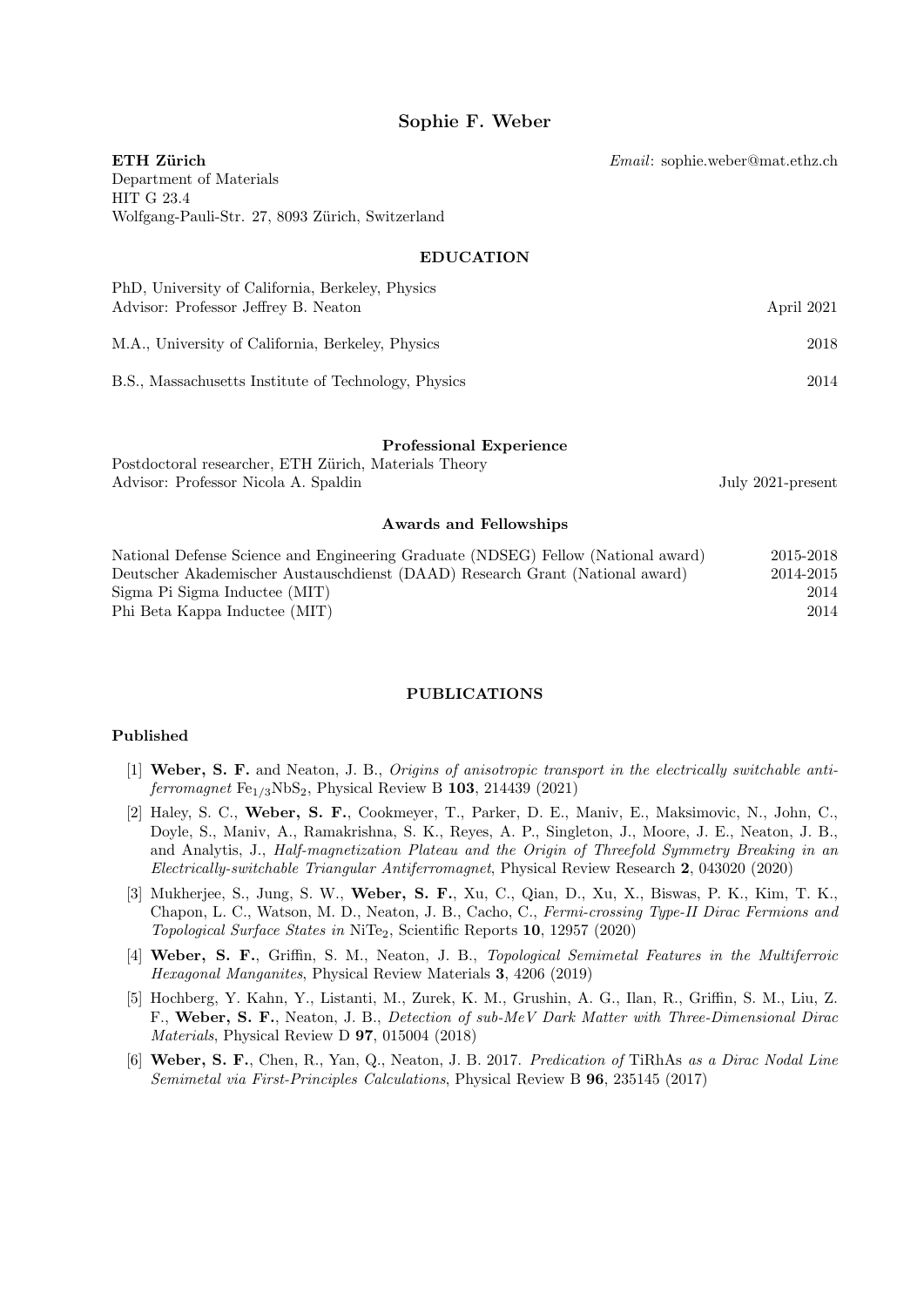# Sophie F. Weber

Email: sophie.weber@mat.ethz.ch

ETH Zürich Department of Materials HIT G 23.4 Wolfgang-Pauli-Str. 27, 8093 Zürich, Switzerland

### EDUCATION

| PhD, University of California, Berkeley, Physics<br>Advisor: Professor Jeffrey B. Neaton | April 2021 |
|------------------------------------------------------------------------------------------|------------|
| M.A., University of California, Berkeley, Physics                                        | 2018       |
| B.S., Massachusetts Institute of Technology, Physics                                     | 2014       |

### Professional Experience

Postdoctoral researcher, ETH Zürich, Materials Theory Advisor: Professor Nicola A. Spaldin July 2021-present

#### Awards and Fellowships

| National Defense Science and Engineering Graduate (NDSEG) Fellow (National award) | 2015-2018 |
|-----------------------------------------------------------------------------------|-----------|
| Deutscher Akademischer Austauschdienst (DAAD) Research Grant (National award)     | 2014-2015 |
| Sigma Pi Sigma Inductee (MIT)                                                     | 2014      |
| Phi Beta Kappa Inductee (MIT)                                                     | 2014      |

### PUBLICATIONS

#### Published

- [1] Weber, S. F. and Neaton, J. B., Origins of anisotropic transport in the electrically switchable antiferromagnet  $Fe<sub>1/3</sub>NbS<sub>2</sub>$ , Physical Review B 103, 214439 (2021)
- [2] Haley, S. C., Weber, S. F., Cookmeyer, T., Parker, D. E., Maniv, E., Maksimovic, N., John, C., Doyle, S., Maniv, A., Ramakrishna, S. K., Reyes, A. P., Singleton, J., Moore, J. E., Neaton, J. B., and Analytis, J., Half-magnetization Plateau and the Origin of Threefold Symmetry Breaking in an Electrically-switchable Triangular Antiferromagnet, Physical Review Research 2, 043020 (2020)
- [3] Mukherjee, S., Jung, S. W., Weber, S. F., Xu, C., Qian, D., Xu, X., Biswas, P. K., Kim, T. K., Chapon, L. C., Watson, M. D., Neaton, J. B., Cacho, C., Fermi-crossing Type-II Dirac Fermions and Topological Surface States in NiTe2, Scientific Reports 10, 12957 (2020)
- [4] Weber, S. F., Griffin, S. M., Neaton, J. B., Topological Semimetal Features in the Multiferroic Hexagonal Manganites, Physical Review Materials 3, 4206 (2019)
- [5] Hochberg, Y. Kahn, Y., Listanti, M., Zurek, K. M., Grushin, A. G., Ilan, R., Griffin, S. M., Liu, Z. F., Weber, S. F., Neaton, J. B., Detection of sub-MeV Dark Matter with Three-Dimensional Dirac Materials, Physical Review D 97, 015004 (2018)
- [6] Weber, S. F., Chen, R., Yan, Q., Neaton, J. B. 2017. Predication of TiRhAs as a Dirac Nodal Line Semimetal via First-Principles Calculations, Physical Review B 96, 235145 (2017)